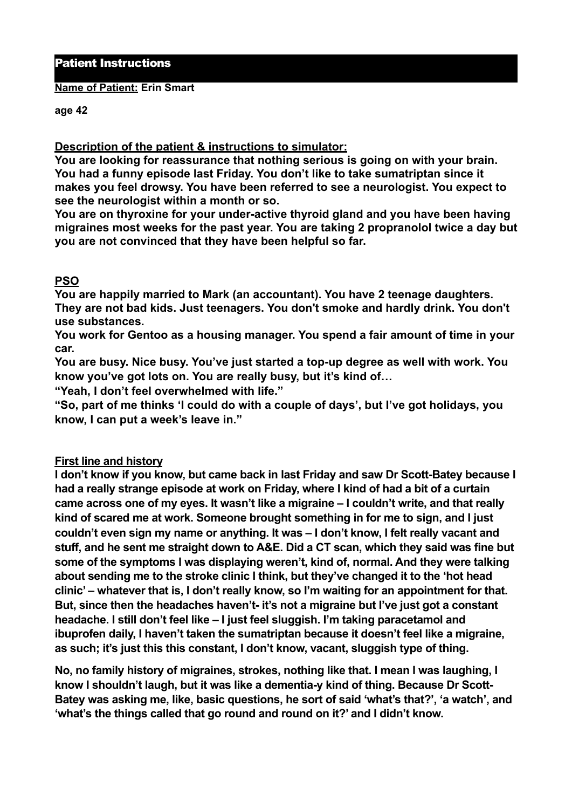## Patient Instructions

#### **Name of Patient: Erin Smart**

**age 42** 

## **Description of the patient & instructions to simulator:**

**You are looking for reassurance that nothing serious is going on with your brain. You had a funny episode last Friday. You don't like to take sumatriptan since it makes you feel drowsy. You have been referred to see a neurologist. You expect to see the neurologist within a month or so.** 

**You are on thyroxine for your under-active thyroid gland and you have been having migraines most weeks for the past year. You are taking 2 propranolol twice a day but you are not convinced that they have been helpful so far.**

# **PSO**

**You are happily married to Mark (an accountant). You have 2 teenage daughters. They are not bad kids. Just teenagers. You don't smoke and hardly drink. You don't use substances.** 

**You work for Gentoo as a housing manager. You spend a fair amount of time in your car.** 

**You are busy. Nice busy. You've just started a top-up degree as well with work. You know you've got lots on. You are really busy, but it's kind of…** 

**"Yeah, I don't feel overwhelmed with life."** 

**"So, part of me thinks 'I could do with a couple of days', but I've got holidays, you know, I can put a week's leave in."** 

## **First line and history**

**I don't know if you know, but came back in last Friday and saw Dr Scott-Batey because I had a really strange episode at work on Friday, where I kind of had a bit of a curtain came across one of my eyes. It wasn't like a migraine – I couldn't write, and that really kind of scared me at work. Someone brought something in for me to sign, and I just couldn't even sign my name or anything. It was – I don't know, I felt really vacant and stuff, and he sent me straight down to A&E. Did a CT scan, which they said was fine but some of the symptoms I was displaying weren't, kind of, normal. And they were talking about sending me to the stroke clinic I think, but they've changed it to the 'hot head clinic' – whatever that is, I don't really know, so I'm waiting for an appointment for that. But, since then the headaches haven't- it's not a migraine but I've just got a constant headache. I still don't feel like – I just feel sluggish. I'm taking paracetamol and ibuprofen daily, I haven't taken the sumatriptan because it doesn't feel like a migraine, as such; it's just this this constant, I don't know, vacant, sluggish type of thing.** 

**No, no family history of migraines, strokes, nothing like that. I mean I was laughing, I know I shouldn't laugh, but it was like a dementia-y kind of thing. Because Dr Scott-Batey was asking me, like, basic questions, he sort of said 'what's that?', 'a watch', and 'what's the things called that go round and round on it?' and I didn't know.**